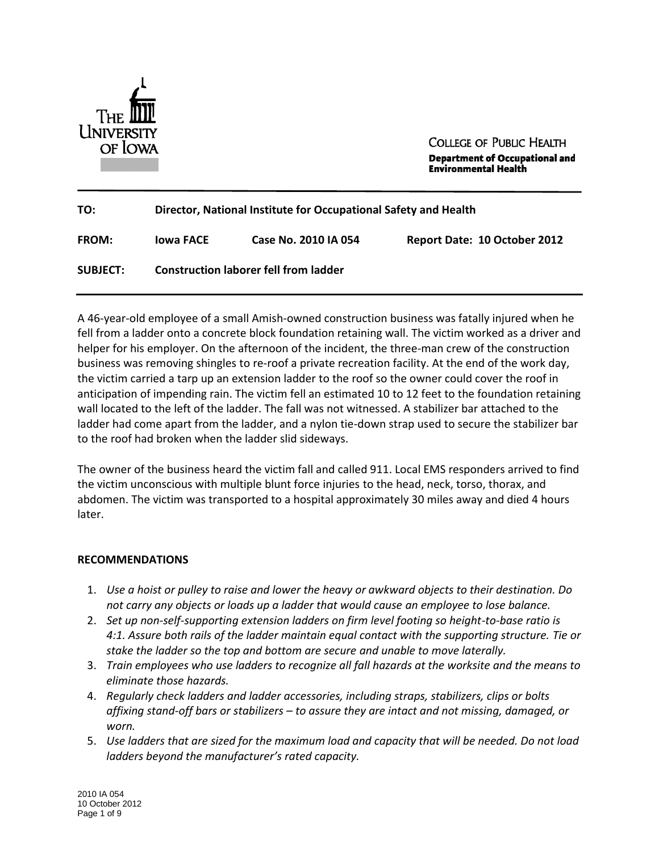

**COLLEGE OF PUBLIC HEALTH Department of Occupational and Environmental Health** 

| TO:             | Director, National Institute for Occupational Safety and Health |                      |                                     |
|-----------------|-----------------------------------------------------------------|----------------------|-------------------------------------|
| <b>FROM:</b>    | lowa FACE                                                       | Case No. 2010 IA 054 | <b>Report Date: 10 October 2012</b> |
| <b>SUBJECT:</b> | <b>Construction laborer fell from ladder</b>                    |                      |                                     |

 A 46-year-old employee of a small Amish-owned construction business was fatally injured when he fell from a ladder onto a concrete block foundation retaining wall. The victim worked as a driver and helper for his employer. On the afternoon of the incident, the three-man crew of the construction business was removing shingles to re-roof a private recreation facility. At the end of the work day, the victim carried a tarp up an extension ladder to the roof so the owner could cover the roof in anticipation of impending rain. The victim fell an estimated 10 to 12 feet to the foundation retaining wall located to the left of the ladder. The fall was not witnessed. A stabilizer bar attached to the ladder had come apart from the ladder, and a nylon tie-down strap used to secure the stabilizer bar to the roof had broken when the ladder slid sideways.

 The owner of the business heard the victim fall and called 911. Local EMS responders arrived to find the victim unconscious with multiple blunt force injuries to the head, neck, torso, thorax, and abdomen. The victim was transported to a hospital approximately 30 miles away and died 4 hours later.

## **RECOMMENDATIONS**

- 1. *Use a hoist or pulley to raise and lower the heavy or awkward objects to their destination. Do not carry any objects or loads up a ladder that would cause an employee to lose balance.*
- 2. *Set up non-self-supporting extension ladders on firm level footing so height-to-base ratio is 4:1. Assure both rails of the ladder maintain equal contact with the supporting structure. Tie or stake the ladder so the top and bottom are secure and unable to move laterally.*
- 3. Train employees who use ladders to recognize all fall hazards at the worksite and the means to *eliminate those hazards.*
- 4. *Regularly check ladders and ladder accessories, including straps, stabilizers, clips or bolts affixing stand-off bars or stabilizers – to assure they are intact and not missing, damaged, or worn.*
- 5. Use ladders that are sized for the maximum load and capacity that will be needed. Do not load *ladders beyond the manufacturer's rated capacity.*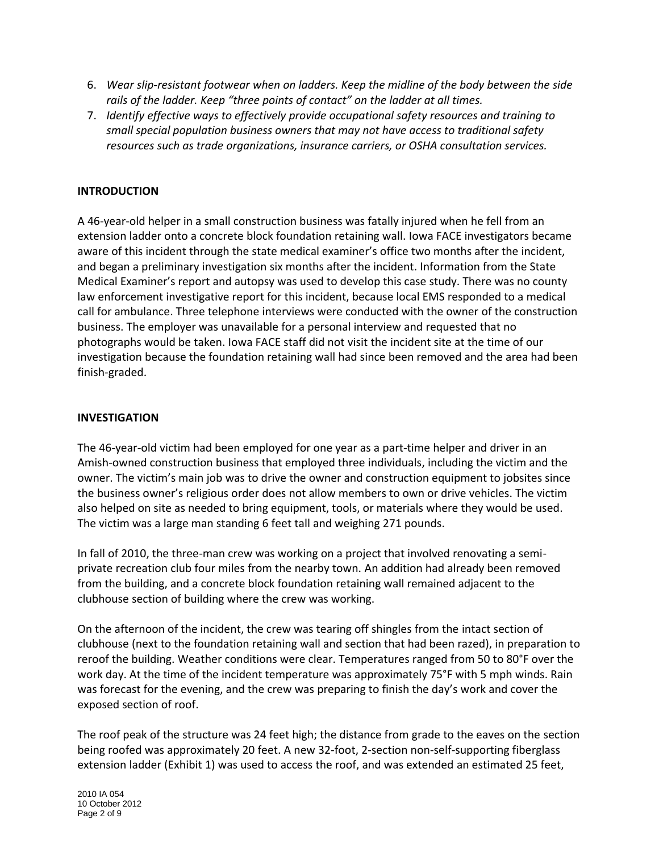- 6. *Wear slip-resistant footwear when on ladders. Keep the midline of the body between the side rails of the ladder. Keep "three points of contact" on the ladder at all times.*
- 7. *Identify effective ways to effectively provide occupational safety resources and training to small special population business owners that may not have access to traditional safety resources such as trade organizations, insurance carriers, or OSHA consultation services.*

#### **INTRODUCTION**

 A 46-year-old helper in a small construction business was fatally injured when he fell from an extension ladder onto a concrete block foundation retaining wall. Iowa FACE investigators became aware of this incident through the state medical examiner's office two months after the incident, and began a preliminary investigation six months after the incident. Information from the State Medical Examiner's report and autopsy was used to develop this case study. There was no county call for ambulance. Three telephone interviews were conducted with the owner of the construction business. The employer was unavailable for a personal interview and requested that no photographs would be taken. Iowa FACE staff did not visit the incident site at the time of our investigation because the foundation retaining wall had since been removed and the area had been finish-graded. law enforcement investigative report for this incident, because local EMS responded to a medical

#### **INVESTIGATION**

 The 46-year-old victim had been employed for one year as a part-time helper and driver in an Amish-owned construction business that employed three individuals, including the victim and the owner. The victim's main job was to drive the owner and construction equipment to jobsites since the business owner's religious order does not allow members to own or drive vehicles. The victim also helped on site as needed to bring equipment, tools, or materials where they would be used. The victim was a large man standing 6 feet tall and weighing 271 pounds.

 In fall of 2010, the three-man crew was working on a project that involved renovating a semi- private recreation club four miles from the nearby town. An addition had already been removed clubhouse section of building where the crew was working. from the building, and a concrete block foundation retaining wall remained adjacent to the

 On the afternoon of the incident, the crew was tearing off shingles from the intact section of clubhouse (next to the foundation retaining wall and section that had been razed), in preparation to reroof the building. Weather conditions were clear. Temperatures ranged from 50 to 80°F over the work day. At the time of the incident temperature was approximately 75°F with 5 mph winds. Rain was forecast for the evening, and the crew was preparing to finish the day's work and cover the exposed section of roof.

 The roof peak of the structure was 24 feet high; the distance from grade to the eaves on the section being roofed was approximately 20 feet. A new 32-foot, 2-section non-self-supporting fiberglass extension ladder (Exhibit 1) was used to access the roof, and was extended an estimated 25 feet,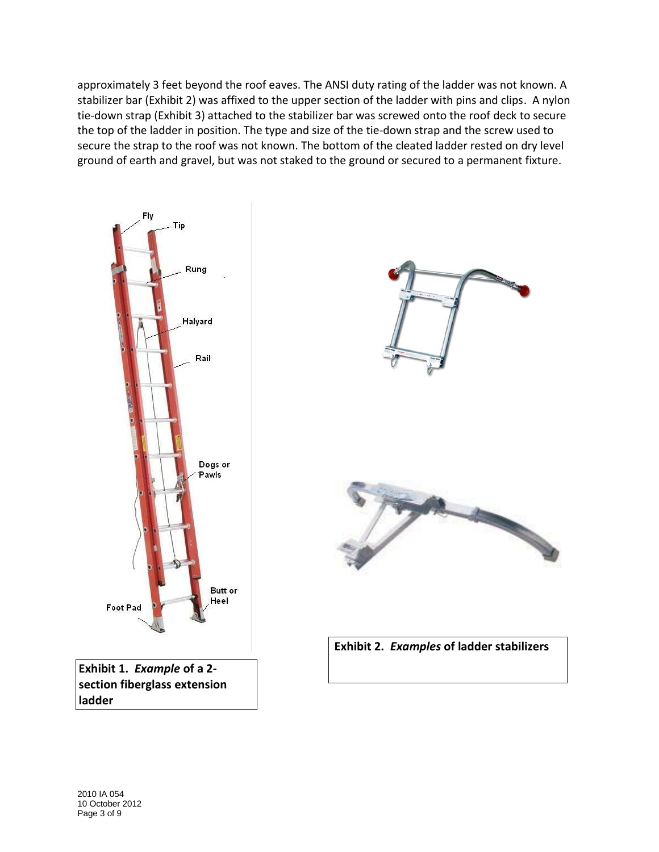approximately 3 feet beyond the roof eaves. The ANSI duty rating of the ladder was not known. A stabilizer bar (Exhibit 2) was affixed to the upper section of the ladder with pins and clips. A nylon tie-down strap (Exhibit 3) attached to the stabilizer bar was screwed onto the roof deck to secure the top of the ladder in position. The type and size of the tie-down strap and the screw used to secure the strap to the roof was not known. The bottom of the cleated ladder rested on dry level ground of earth and gravel, but was not staked to the ground or secured to a permanent fixture.

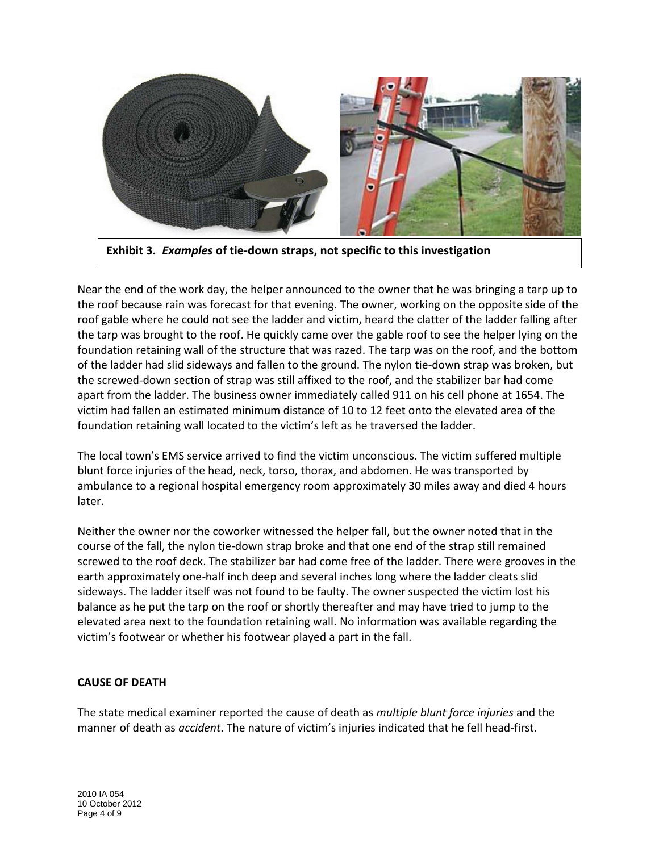

**Exhibit 3.** *Examples* **of tie-down straps, not specific to this investigation** 

 Near the end of the work day, the helper announced to the owner that he was bringing a tarp up to the roof because rain was forecast for that evening. The owner, working on the opposite side of the roof gable where he could not see the ladder and victim, heard the clatter of the ladder falling after the tarp was brought to the roof. He quickly came over the gable roof to see the helper lying on the foundation retaining wall of the structure that was razed. The tarp was on the roof, and the bottom of the ladder had slid sideways and fallen to the ground. The nylon tie-down strap was broken, but the screwed-down section of strap was still affixed to the roof, and the stabilizer bar had come apart from the ladder. The business owner immediately called 911 on his cell phone at 1654. The victim had fallen an estimated minimum distance of 10 to 12 feet onto the elevated area of the foundation retaining wall located to the victim's left as he traversed the ladder.

 The local town's EMS service arrived to find the victim unconscious. The victim suffered multiple blunt force injuries of the head, neck, torso, thorax, and abdomen. He was transported by ambulance to a regional hospital emergency room approximately 30 miles away and died 4 hours later.

 Neither the owner nor the coworker witnessed the helper fall, but the owner noted that in the course of the fall, the nylon tie-down strap broke and that one end of the strap still remained screwed to the roof deck. The stabilizer bar had come free of the ladder. There were grooves in the earth approximately one-half inch deep and several inches long where the ladder cleats slid sideways. The ladder itself was not found to be faulty. The owner suspected the victim lost his balance as he put the tarp on the roof or shortly thereafter and may have tried to jump to the elevated area next to the foundation retaining wall. No information was available regarding the victim's footwear or whether his footwear played a part in the fall.

## **CAUSE OF DEATH**

 The state medical examiner reported the cause of death as *multiple blunt force injuries* and the manner of death as *accident*. The nature of victim's injuries indicated that he fell head-first.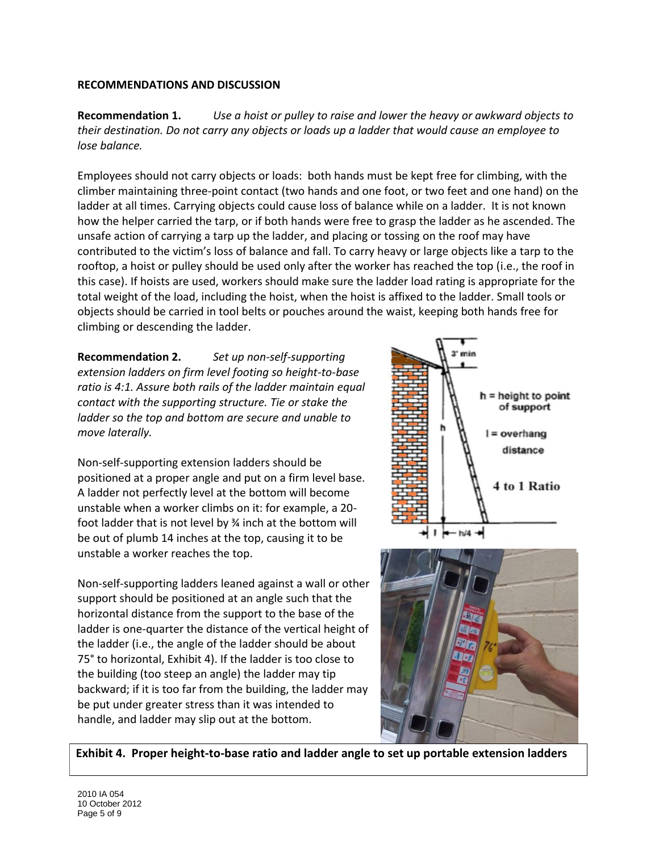# **RECOMMENDATIONS AND DISCUSSION**

**Recommendation 1.**  *their destination. Do not carry any objects or loads up a ladder that would cause an employee to*  **Recommendation 1.** *Use a hoist or pulley to raise and lower the heavy or awkward objects to lose balance.* 

 Employees should not carry objects or loads: both hands must be kept free for climbing, with the climber maintaining three-point contact (two hands and one foot, or two feet and one hand) on the ladder at all times. Carrying objects could cause loss of balance while on a ladder. It is not known how the helper carried the tarp, or if both hands were free to grasp the ladder as he ascended. The unsafe action of carrying a tarp up the ladder, and placing or tossing on the roof may have contributed to the victim's loss of balance and fall. To carry heavy or large objects like a tarp to the rooftop, a hoist or pulley should be used only after the worker has reached the top (i.e., the roof in this case). If hoists are used, workers should make sure the ladder load rating is appropriate for the total weight of the load, including the hoist, when the hoist is affixed to the ladder. Small tools or objects should be carried in tool belts or pouches around the waist, keeping both hands free for climbing or descending the ladder.

**Recommendation 2.**  *extension ladders on firm level footing so height-to-base ratio is 4:1. Assure both rails of the ladder maintain equal contact with the supporting structure. Tie or stake the ladder so the top and bottom are secure and unable to*  **Recommendation 2.** *Set up non-self-supporting move laterally.* 

 Non-self-supporting extension ladders should be positioned at a proper angle and put on a firm level base. A ladder not perfectly level at the bottom will become unstable when a worker climbs on it: for example, a 20 foot ladder that is not level by ¾ inch at the bottom will be out of plumb 14 inches at the top, causing it to be unstable a worker reaches the top.

 Non-self-supporting ladders leaned against a wall or other horizontal distance from the support to the base of the ladder is one-quarter the distance of the vertical height of the ladder (i.e., the angle of the ladder should be about 75° to horizontal, Exhibit 4). If the ladder is too close to the building (too steep an angle) the ladder may tip backward; if it is too far from the building, the ladder may be put under greater stress than it was intended to handle, and ladder may slip out at the bottom. support should be positioned at an angle such that the





 **Exhibit 4. Proper height-to-base ratio and ladder angle to set up portable extension ladders**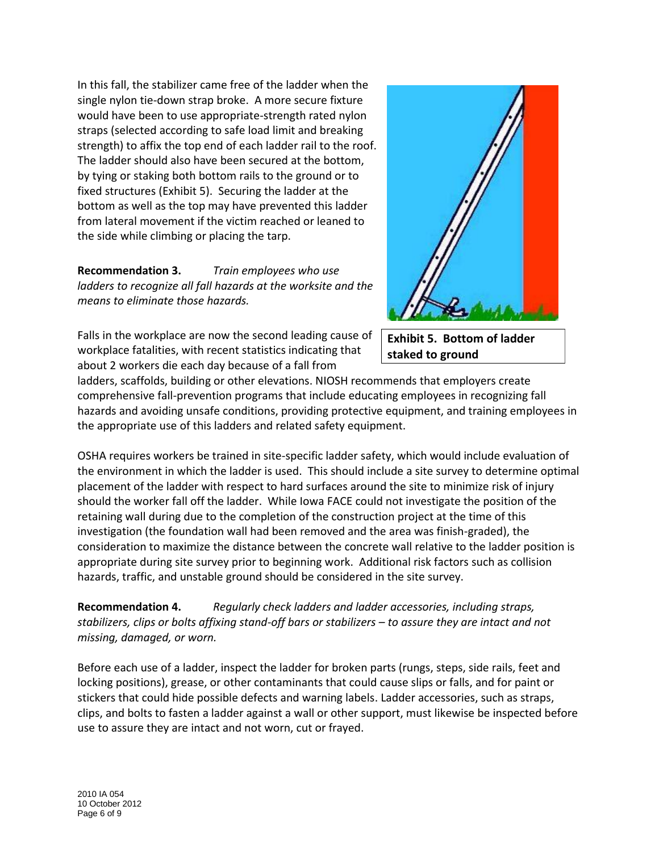In this fall, the stabilizer came free of the ladder when the single nylon tie-down strap broke. A more secure fixture would have been to use appropriate-strength rated nylon straps (selected according to safe load limit and breaking strength) to affix the top end of each ladder rail to the roof. The ladder should also have been secured at the bottom, by tying or staking both bottom rails to the ground or to bottom as well as the top may have prevented this ladder from lateral movement if the victim reached or leaned to the side while climbing or placing the tarp. fixed structures (Exhibit 5). Securing the ladder at the

 **Recommendation 3.** *Train employees who use means to eliminate those hazards. ladders to recognize all fall hazards at the worksite and the* 

 Falls in the workplace are now the second leading cause of workplace fatalities, with recent statistics indicating that about 2 workers die each day because of a fall from



 **Exhibit 5. Bottom of ladder staked to ground** 

 ladders, scaffolds, building or other elevations. NIOSH recommends that employers create comprehensive fall-prevention programs that include educating employees in recognizing fall hazards and avoiding unsafe conditions, providing protective equipment, and training employees in the appropriate use of this ladders and related safety equipment.

 OSHA requires workers be trained in site-specific ladder safety, which would include evaluation of the environment in which the ladder is used. This should include a site survey to determine optimal placement of the ladder with respect to hard surfaces around the site to minimize risk of injury should the worker fall off the ladder. While Iowa FACE could not investigate the position of the retaining wall during due to the completion of the construction project at the time of this investigation (the foundation wall had been removed and the area was finish-graded), the consideration to maximize the distance between the concrete wall relative to the ladder position is appropriate during site survey prior to beginning work. Additional risk factors such as collision hazards, traffic, and unstable ground should be considered in the site survey.

**Recommendation 4.**  *stabilizers, clips or bolts affixing stand-off bars or stabilizers – to assure they are intact and not*  **Recommendation 4.** *Regularly check ladders and ladder accessories, including straps, missing, damaged, or worn.* 

 Before each use of a ladder, inspect the ladder for broken parts (rungs, steps, side rails, feet and locking positions), grease, or other contaminants that could cause slips or falls, and for paint or stickers that could hide possible defects and warning labels. Ladder accessories, such as straps, clips, and bolts to fasten a ladder against a wall or other support, must likewise be inspected before use to assure they are intact and not worn, cut or frayed.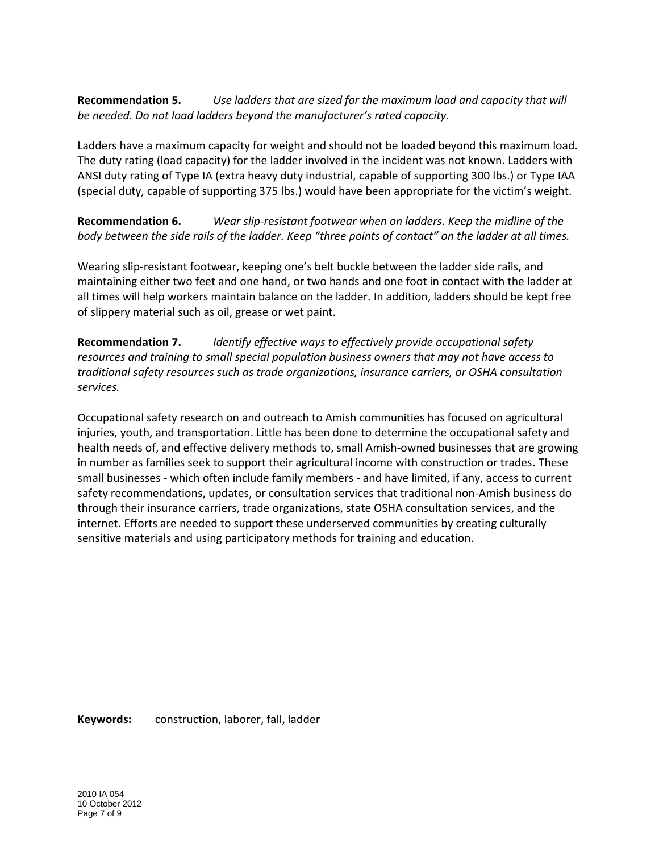**Recommendation 5.** *Use ladders that are sized for the maximum load and capacity that will be needed. Do not load ladders beyond the manufacturer's rated capacity.* 

 Ladders have a maximum capacity for weight and should not be loaded beyond this maximum load. The duty rating (load capacity) for the ladder involved in the incident was not known. Ladders with ANSI duty rating of Type IA (extra heavy duty industrial, capable of supporting 300 lbs.) or Type IAA (special duty, capable of supporting 375 lbs.) would have been appropriate for the victim's weight.

**Recommendation 6.**  *body between the side rails of the ladder. Keep "three points of contact" on the ladder at all times.*  Wear slip-resistant footwear when on ladders. Keep the midline of the

 Wearing slip-resistant footwear, keeping one's belt buckle between the ladder side rails, and maintaining either two feet and one hand, or two hands and one foot in contact with the ladder at all times will help workers maintain balance on the ladder. In addition, ladders should be kept free of slippery material such as oil, grease or wet paint.

**Recommendation 7.**  *resources and training to small special population business owners that may not have access to Realify effective ways to effectively provide occupational safety identify traditional safety resources such as trade organizations, insurance carriers, or OSHA consultation services.* 

 Occupational safety research on and outreach to Amish communities has focused on agricultural injuries, youth, and transportation. Little has been done to determine the occupational safety and health needs of, and effective delivery methods to, small Amish-owned businesses that are growing in number as families seek to support their agricultural income with construction or trades. These small businesses - which often include family members - and have limited, if any, access to current safety recommendations, updates, or consultation services that traditional non-Amish business do through their insurance carriers, trade organizations, state OSHA consultation services, and the internet. Efforts are needed to support these underserved communities by creating culturally sensitive materials and using participatory methods for training and education.

**Keywords:** construction, laborer, fall, ladder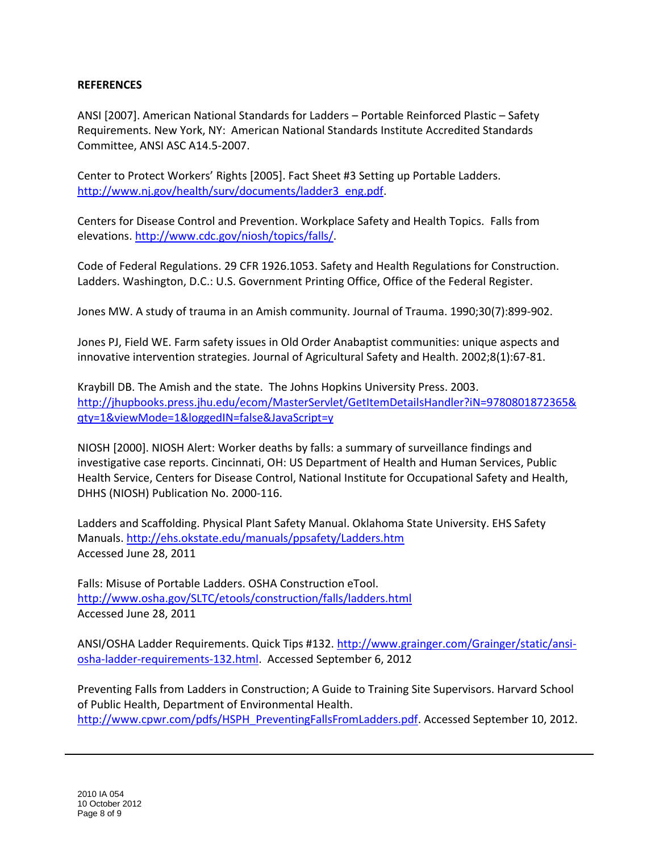#### **REFERENCES**

 ANSI [2007]. American National Standards for Ladders – Portable Reinforced Plastic – Safety Requirements. New York, NY: American National Standards Institute Accredited Standards Committee, ANSI ASC A14.5-2007.

 Center to Protect Workers' Rights [2005]. Fact Sheet #3 Setting up Portable Ladders. [http://www.nj.gov/health/surv/documents/ladder3\\_eng.pdf.](http://www.nj.gov/health/surv/documents/ladder3_eng.pdf)

 Centers for Disease Control and Prevention. Workplace Safety and Health Topics. Falls from elevations. [http://www.cdc.gov/niosh/topics/falls/.](http://www.cdc.gov/niosh/topics/falls/)

 Code of Federal Regulations. 29 CFR 1926.1053. Safety and Health Regulations for Construction. Ladders. Washington, D.C.: U.S. Government Printing Office, Office of the Federal Register.

Jones MW. A study of trauma in an Amish community. Journal of Trauma. 1990;30(7):899-902.

 Jones PJ, Field WE. Farm safety issues in Old Order Anabaptist communities: unique aspects and innovative intervention strategies. Journal of Agricultural Safety and Health. 2002;8(1):67-81.

 Kraybill DB. The Amish and the state. The Johns Hopkins University Press. 2003. [http://jhupbooks.press.jhu.edu/ecom/MasterServlet/GetItemDetailsHandler?iN=9780801872365&](http://jhupbooks.press.jhu.edu/ecom/MasterServlet/GetItemDetailsHandler?iN=9780801872365&qty=1&viewMode=1&loggedIN=false&JavaScript=y)  [qty=1&viewMode=1&loggedIN=false&JavaScript=y](http://jhupbooks.press.jhu.edu/ecom/MasterServlet/GetItemDetailsHandler?iN=9780801872365&qty=1&viewMode=1&loggedIN=false&JavaScript=y) 

 NIOSH [2000]. NIOSH Alert: Worker deaths by falls: a summary of surveillance findings and investigative case reports. Cincinnati, OH: US Department of Health and Human Services, Public Health Service, Centers for Disease Control, National Institute for Occupational Safety and Health, DHHS (NIOSH) Publication No. 2000-116.

 Ladders and Scaffolding. Physical Plant Safety Manual. Oklahoma State University. EHS Safety Accessed June 28, 2011 Manuals[. http://ehs.okstate.edu/manuals/ppsafety/Ladders.htm](http://ehs.okstate.edu/manuals/ppsafety/Ladders.htm) 

 Falls: Misuse of Portable Ladders. OSHA Construction eTool. Accessed June 28, 2011 <http://www.osha.gov/SLTC/etools/construction/falls/ladders.html>

ANSI/OSHA Ladder Requirements. Quick Tips #132. http://www.grainger.com/Grainger/static/ansi osha-ladder-requirements-132.html</u>. Accessed September 6, 2012

 Preventing Falls from Ladders in Construction; A Guide to Training Site Supervisors. Harvard School http://www.cpwr.com/pdfs/HSPH\_PreventingFallsFromLadders.pdf</u>. Accessed September 10, 2012. of Public Health, Department of Environmental Health.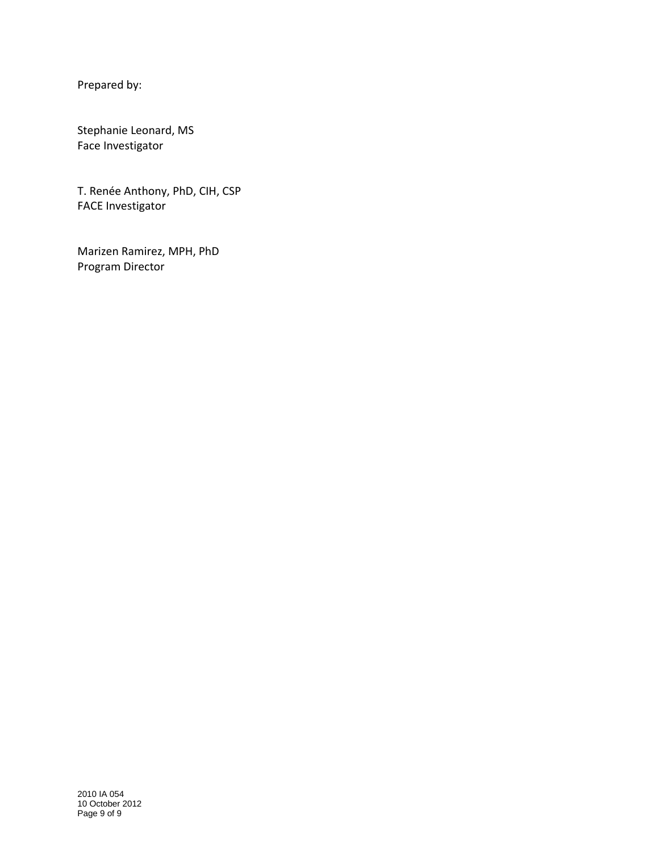Prepared by:

Stephanie Leonard, MS Face Investigator

T. Renée Anthony, PhD, CIH, CSP FACE Investigator

 Program Director Marizen Ramirez, MPH, PhD